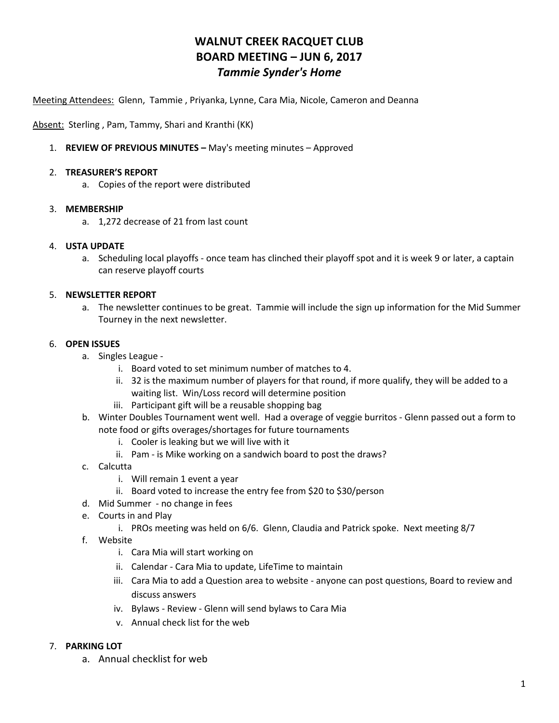# **WALNUT CREEK RACQUET CLUB BOARD MEETING – JUN 6, 2017** *Tammie Synder's Home*

Meeting Attendees: Glenn, Tammie , Priyanka, Lynne, Cara Mia, Nicole, Cameron and Deanna

Absent: Sterling, Pam, Tammy, Shari and Kranthi (KK)

1. **REVIEW OF PREVIOUS MINUTES –** May's meeting minutes – Approved

#### 2. **TREASURER'S REPORT**

a. Copies of the report were distributed

## 3. **MEMBERSHIP**

a. 1,272 decrease of 21 from last count

## 4. **USTA UPDATE**

a. Scheduling local playoffs - once team has clinched their playoff spot and it is week 9 or later, a captain can reserve playoff courts

## 5. **NEWSLETTER REPORT**

a. The newsletter continues to be great. Tammie will include the sign up information for the Mid Summer Tourney in the next newsletter.

## 6. **OPEN ISSUES**

- a. Singles League
	- i. Board voted to set minimum number of matches to 4.
	- ii. 32 is the maximum number of players for that round, if more qualify, they will be added to a waiting list. Win/Loss record will determine position
	- iii. Participant gift will be a reusable shopping bag
- b. Winter Doubles Tournament went well. Had a overage of veggie burritos Glenn passed out a form to note food or gifts overages/shortages for future tournaments
	- i. Cooler is leaking but we will live with it
	- ii. Pam is Mike working on a sandwich board to post the draws?
- c. Calcutta
	- i. Will remain 1 event a year
	- ii. Board voted to increase the entry fee from \$20 to \$30/person
- d. Mid Summer no change in fees
- e. Courts in and Play
	- i. PROs meeting was held on 6/6. Glenn, Claudia and Patrick spoke. Next meeting 8/7
- f. Website
	- i. Cara Mia will start working on
	- ii. Calendar Cara Mia to update, LifeTime to maintain
	- iii. Cara Mia to add a Question area to website anyone can post questions, Board to review and discuss answers
	- iv. Bylaws Review Glenn will send bylaws to Cara Mia
	- v. Annual check list for the web

#### 7. **PARKING LOT**

a. Annual checklist for web